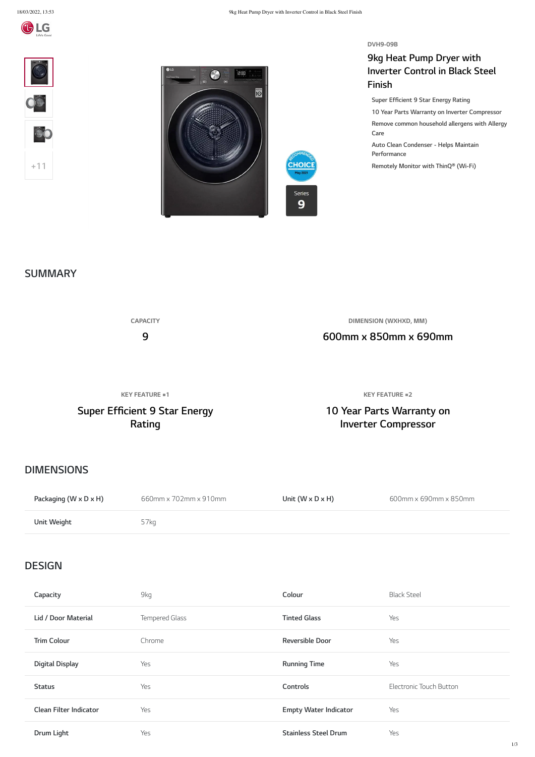



**DVH9-09B**

# **9kg Heat Pump Dryer with Inverter Control in Black Steel Finish**







**Super Efficient 9 Star Energy Rating**

**10 Year Parts Warranty on Inverter Compressor Remove common household allergens with Allergy Care**

**Auto Clean Condenser - Helps Maintain Performance**

**Remotely Monitor with ThinQ® (Wi-Fi)**

**CAPACITY 9 DIMENSION (WXHXD, MM) 600mm x 850mm x 690mm**

**KEY FEATURE #1**

# **Super Efficient 9 Star Energy Rating**

**KEY FEATURE #2**

**10 Year Parts Warranty on Inverter Compressor**

| Packaging (W x D x H) | 660mm x 702mm x 910mm | Unit $(W \times D \times H)$ | 600mm x 690mm x 850mm |
|-----------------------|-----------------------|------------------------------|-----------------------|
| Unit Weight           | 57kg                  |                              |                       |

| Capacity                      | 9kg            | Colour                       | <b>Black Steel</b>      |
|-------------------------------|----------------|------------------------------|-------------------------|
| Lid / Door Material           | Tempered Glass | <b>Tinted Glass</b>          | Yes                     |
| <b>Trim Colour</b>            | Chrome         | <b>Reversible Door</b>       | Yes                     |
| <b>Digital Display</b>        | Yes            | <b>Running Time</b>          | Yes                     |
| <b>Status</b>                 | Yes            | Controls                     | Electronic Touch Button |
| <b>Clean Filter Indicator</b> | Yes            | <b>Empty Water Indicator</b> | Yes                     |
| Drum Light                    | Yes            | <b>Stainless Steel Drum</b>  | Yes                     |

#### **SUMMARY**

#### **DIMENSIONS**

**DESIGN**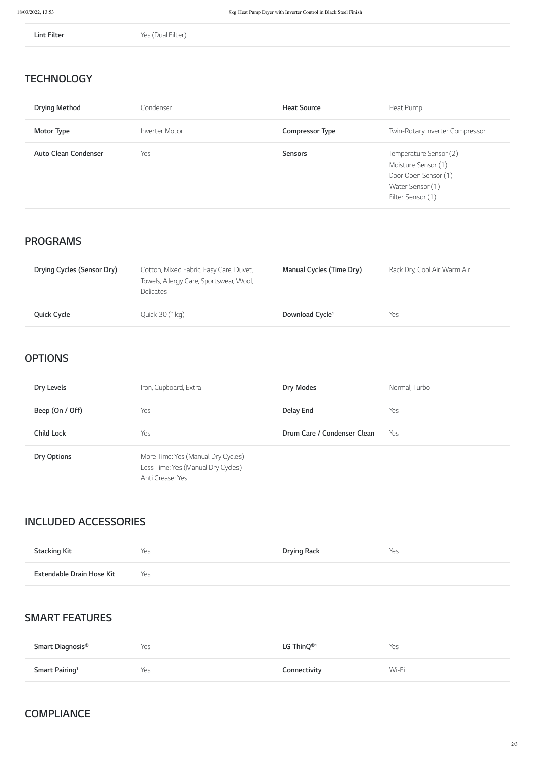**Lint Filter** Yes (Dual Filter)

| <b>Drying Method</b>        | Condenser      | <b>Heat Source</b>     | Heat Pump                                                                                                      |
|-----------------------------|----------------|------------------------|----------------------------------------------------------------------------------------------------------------|
| <b>Motor Type</b>           | Inverter Motor | <b>Compressor Type</b> | Twin-Rotary Inverter Compressor                                                                                |
| <b>Auto Clean Condenser</b> | Yes            | <b>Sensors</b>         | Temperature Sensor (2)<br>Moisture Sensor (1)<br>Door Open Sensor (1)<br>Water Sensor (1)<br>Filter Sensor (1) |

| Drying Cycles (Sensor Dry) | Cotton, Mixed Fabric, Easy Care, Duvet,<br>Towels, Allergy Care, Sportswear, Wool,<br><b>Delicates</b> | <b>Manual Cycles (Time Dry)</b> | Rack Dry, Cool Air, Warm Air |
|----------------------------|--------------------------------------------------------------------------------------------------------|---------------------------------|------------------------------|
| <b>Quick Cycle</b>         | Quick 30 (1kg)                                                                                         | Download Cycle <sup>1</sup>     | Yes                          |

| Dry Levels         | Iron, Cupboard, Extra                                                                        | <b>Dry Modes</b>            | Normal, Turbo |
|--------------------|----------------------------------------------------------------------------------------------|-----------------------------|---------------|
| Beep (On / Off)    | Yes                                                                                          | <b>Delay End</b>            | Yes           |
| <b>Child Lock</b>  | Yes                                                                                          | Drum Care / Condenser Clean | Yes           |
| <b>Dry Options</b> | More Time: Yes (Manual Dry Cycles)<br>Less Time: Yes (Manual Dry Cycles)<br>Anti Crease: Yes |                             |               |

| ™ ku | 1.22 1.2 1.2<br>Rark | e. |
|------|----------------------|----|
|      |                      |    |

| Smart Diagnosis <sup>®</sup> | Yes | LG Thin $Q^{\circledast}$ <sup>1</sup> | Yes   |
|------------------------------|-----|----------------------------------------|-------|
| Smart Pairing <sup>1</sup>   | Yes | Connectivity                           | Wi-Fi |

# **TECHNOLOGY**

# **PROGRAMS**

### **OPTIONS**

# **INCLUDED ACCESSORIES**

#### **SMART FEATURES**

#### **COMPLIANCE**